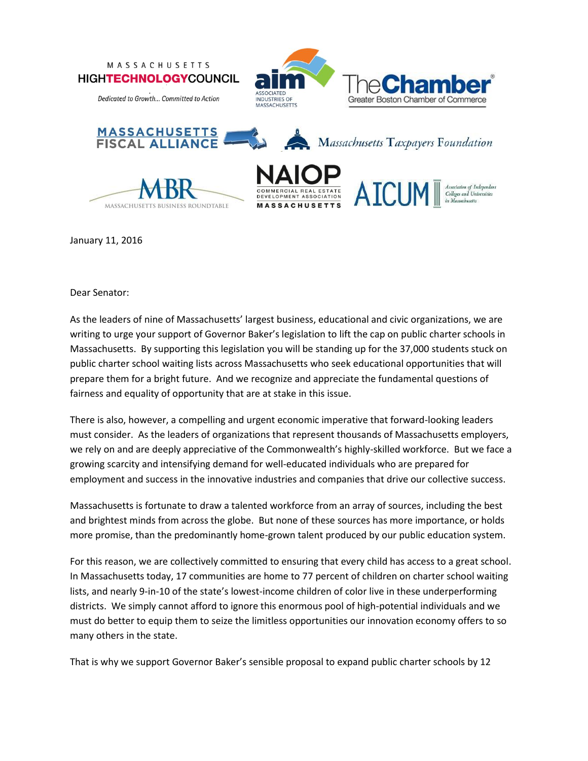

January 11, 2016

Dear Senator:

As the leaders of nine of Massachusetts' largest business, educational and civic organizations, we are writing to urge your support of Governor Baker's legislation to lift the cap on public charter schools in Massachusetts. By supporting this legislation you will be standing up for the 37,000 students stuck on public charter school waiting lists across Massachusetts who seek educational opportunities that will prepare them for a bright future. And we recognize and appreciate the fundamental questions of fairness and equality of opportunity that are at stake in this issue.

There is also, however, a compelling and urgent economic imperative that forward-looking leaders must consider. As the leaders of organizations that represent thousands of Massachusetts employers, we rely on and are deeply appreciative of the Commonwealth's highly-skilled workforce. But we face a growing scarcity and intensifying demand for well-educated individuals who are prepared for employment and success in the innovative industries and companies that drive our collective success.

Massachusetts is fortunate to draw a talented workforce from an array of sources, including the best and brightest minds from across the globe. But none of these sources has more importance, or holds more promise, than the predominantly home-grown talent produced by our public education system.

For this reason, we are collectively committed to ensuring that every child has access to a great school. In Massachusetts today, 17 communities are home to 77 percent of children on charter school waiting lists, and nearly 9-in-10 of the state's lowest-income children of color live in these underperforming districts. We simply cannot afford to ignore this enormous pool of high-potential individuals and we must do better to equip them to seize the limitless opportunities our innovation economy offers to so many others in the state.

That is why we support Governor Baker's sensible proposal to expand public charter schools by 12